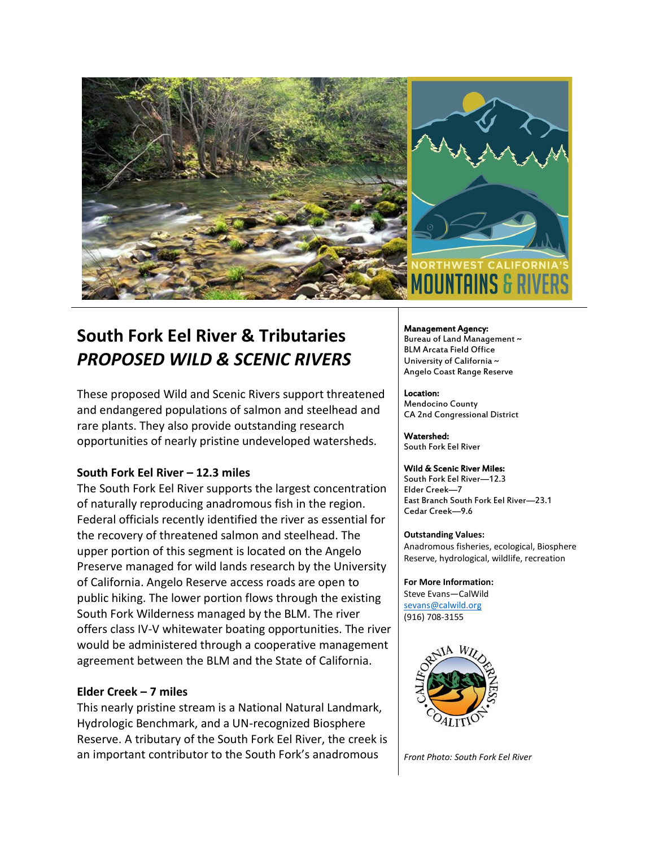

# **South Fork Eel River & Tributaries** *PROPOSED WILD & SCENIC RIVERS*

These proposed Wild and Scenic Rivers support threatened and endangered populations of salmon and steelhead and rare plants. They also provide outstanding research opportunities of nearly pristine undeveloped watersheds.

## **South Fork Eel River – 12.3 miles**

The South Fork Eel River supports the largest concentration of naturally reproducing anadromous fish in the region. Federal officials recently identified the river as essential for the recovery of threatened salmon and steelhead. The upper portion of this segment is located on the Angelo Preserve managed for wild lands research by the University of California. Angelo Reserve access roads are open to public hiking. The lower portion flows through the existing South Fork Wilderness managed by the BLM. The river offers class IV-V whitewater boating opportunities. The river would be administered through a cooperative management agreement between the BLM and the State of California.

## **Elder Creek – 7 miles**

This nearly pristine stream is a National Natural Landmark, Hydrologic Benchmark, and a UN-recognized Biosphere Reserve. A tributary of the South Fork Eel River, the creek is an important contributor to the South Fork's anadromous

#### Management Agency:

Bureau of Land Management ~ BLM Arcata Field Office University of California ~ Angelo Coast Range Reserve

#### Location:

Mendocino County CA 2nd Congressional District

Watershed: South Fork Eel River

#### Wild & Scenic River Miles:

South Fork Eel River—12.3 Elder Creek—7 East Branch South Fork Eel River—23.1 Cedar Creek—9.6

#### **Outstanding Values:**

Anadromous fisheries, ecological, Biosphere Reserve, hydrological, wildlife, recreation

**For More Information:** Steve Evans—CalWild [sevans@calwild.org](mailto:sevans@calwild.org) (916) 708-3155



*Front Photo: South Fork Eel River*